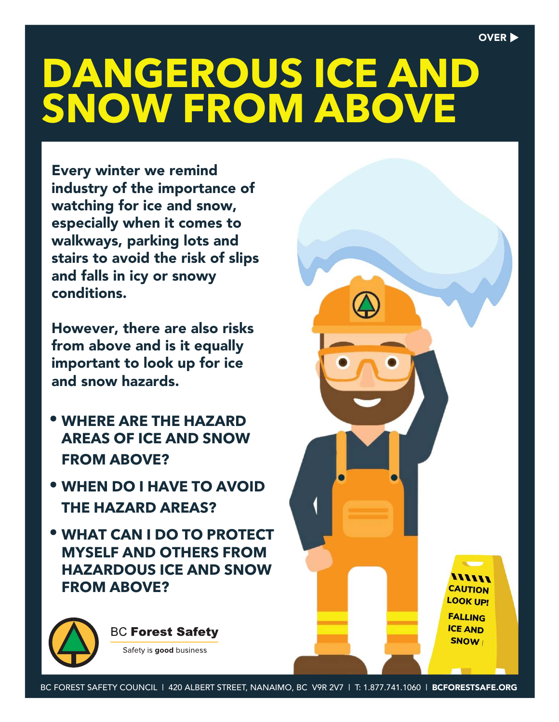,,,,,, **CAUTION LOOK UP! FALLING ICE AND** 

**SNOW** 

# **DANGEROUS ICE AND SNOW FROM ABOVE**

Every winter we remind industry of the importance of watching for ice and snow, especially when it comes to walkways, parking lots and stairs to avoid the risk of slips and falls in icy or snowy conditions.

However, there are also risks from above and is it equally important to look up for ice and snow hazards.

- **WHERE ARE THE HAZARD AREAS OF ICE AND SNOW FROM ABOVE?**
- **WHEN DO I HAVE TO AVOID THE HAZARD AREAS?**
- **WHAT CAN I DO TO PROTECT MYSELF AND OTHERS FROM HAZARDOUS ICE AND SNOW FROM ABOVE?**

**BC Forest Safety** 

Safety is good business